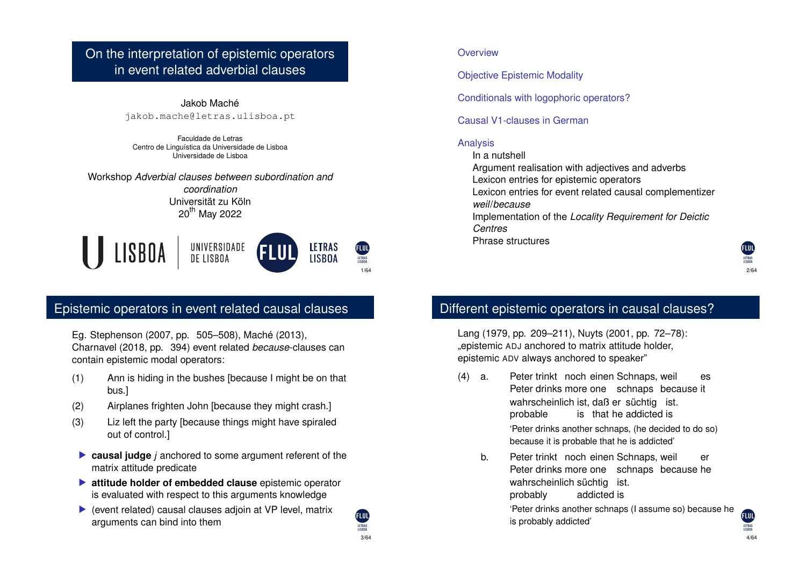#### On the interpretation of epistemic operators in event related adverbial clauses

Jakob Maché jakob.mache@letras.ulisboa.pt

Faculdade de Letras Centro de Linguística da Universidade de Lisboa Universidade de Lisboa

Workshop *Adverbial clauses between subordination and*

*coordination* Universität zu Köln 20<sup>th</sup> May 2022



#### Epistemic operators in event related causal clauses

Eg. Stephenson (2007, pp. 505–508), Maché (2013), Charnavel (2018, pp. 394) event related *because*-clauses can contain epistemic modal operators:

- (1) Ann is hiding in the bushes [because I might be on that bus.]
- (2) Airplanes frighten John [because they might crash.]
- (3) Liz left the party [because things might have spiraled out of control.]
- **Causal judge** *j* anchored to some argument referent of the matrix attitude predicate
- $\blacktriangleright$  **attitude holder of embedded clause** epistemic operator is evaluated with respect to this arguments knowledge
- $\blacktriangleright$  (event related) causal clauses adjoin at VP level, matrix arguments can bind into them

3/64

**AUD** LETRAS<br>LISBOA

#### **Overview**

Objective Epistemic Modality

Conditionals with logophoric operators?

Causal V1-clauses in German

#### Analysis

In a nutshell

- Argument realisation with adjectives and adverbs
- Lexicon entries for epistemic operators

Lexicon entries for event related causal complementizer *weil*/*because*

Implementation of the *Locality Requirement for Deictic Centres*

Phrase structures

# Different epistemic operators in causal clauses?

Lang (1979, pp. 209–211), Nuyts (2001, pp. 72–78): "epistemic ADJ anchored to matrix attitude holder, epistemic ADV always anchored to speaker"

- $(4)$  a. Peter drinks more one schnaps because it trinkt noch einen Schnaps, weil es wahrscheinlich ist, daß er süchtig ist. probable is that he addicted is 'Peter drinks another schnaps, (he decided to do so) because it is probable that he is addicted'
	- b. Peter trinkt noch einen Schnaps, weil Peter drinks more one schnaps because he er wahrscheinlich süchtig ist. probably addicted is 'Peter drinks another schnaps (I assume so) because he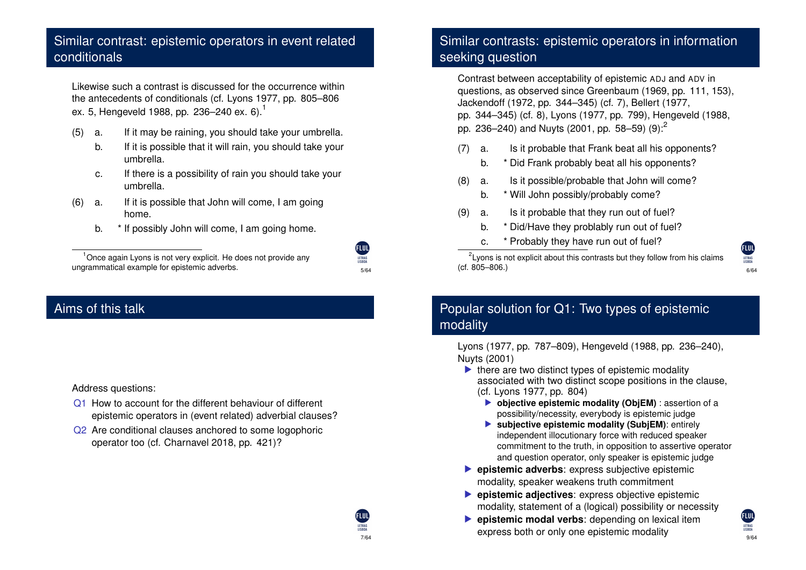#### Similar contrast: epistemic operators in event related conditionals

Likewise such a contrast is discussed for the occurrence within the antecedents of conditionals (cf. Lyons 1977, pp. 805–806 ex. 5, Hengeveld 1988, pp. 236-240 ex. 6).<sup>1</sup>

- (5) a. If it may be raining, you should take your umbrella.
	- b. If it is possible that it will rain, you should take your umbrella.
	- c. If there is a possibility of rain you should take your umbrella.

5/64

**FLUL** 

7/64

- (6) a. If it is possible that John will come, I am going home.
	- b. \* If possibly John will come, I am going home.

<sup>1</sup> Once again Lyons is not very explicit. He does not provide any

### Aims of this talk

#### Address questions:

- Q1 How to account for the different behaviour of different epistemic operators in (event related) adverbial clauses?
- Q<sub>2</sub> Are conditional clauses anchored to some logophoric operator too (cf. Charnavel 2018, pp. 421)?

# Similar contrasts: epistemic operators in information seeking question

Contrast between acceptability of epistemic ADJ and ADV in questions, as observed since Greenbaum (1969, pp. 111, 153), Jackendoff (1972, pp. 344–345) (cf. 7), Bellert (1977, pp. 344–345) (cf. 8), Lyons (1977, pp. 799), Hengeveld (1988, pp. 236–240) and Nuyts (2001, pp. 58–59)  $(9)$ :

- (7) a. Is it probable that Frank beat all his opponents?
	- b. \* Did Frank probably beat all his opponents?
- (8) a. Is it possible/probable that John will come?
	- b. \* Will John possibly/probably come?
- (9) a. Is it probable that they run out of fuel?
	- b. \* Did/Have they problably run out of fuel?
	- c. \* Probably they have run out of fuel?

ungrammatical example for epistemic adverbs.  $\frac{6.64}{6.64}$  (cf. 805–806.)  $2$ Lyons is not explicit about this contrasts but they follow from his claims (cf. 805–806.)



#### Popular solution for Q1: Two types of epistemic modality

Lyons (1977, pp. 787–809), Hengeveld (1988, pp. 236–240), Nuyts (2001)

- $\blacktriangleright$  there are two distinct types of epistemic modality associated with two distinct scope positions in the clause, (cf. Lyons 1977, pp. 804)
	- $\triangleright$  objective epistemic modality (ObjEM) : assertion of a possibility/necessity, everybody is epistemic judge
	- $\blacktriangleright$  **subjective epistemic modality (SubjEM):** entirely independent illocutionary force with reduced speaker commitment to the truth, in opposition to assertive operator and question operator, only speaker is epistemic judge
- **P** epistemic adverbs: express subjective epistemic modality, speaker weakens truth commitment
- **EX epistemic adjectives:** express objective epistemic modality, statement of a (logical) possibility or necessity
- **Exercise Exercise modal verbs:** depending on lexical item express both or only one epistemic modality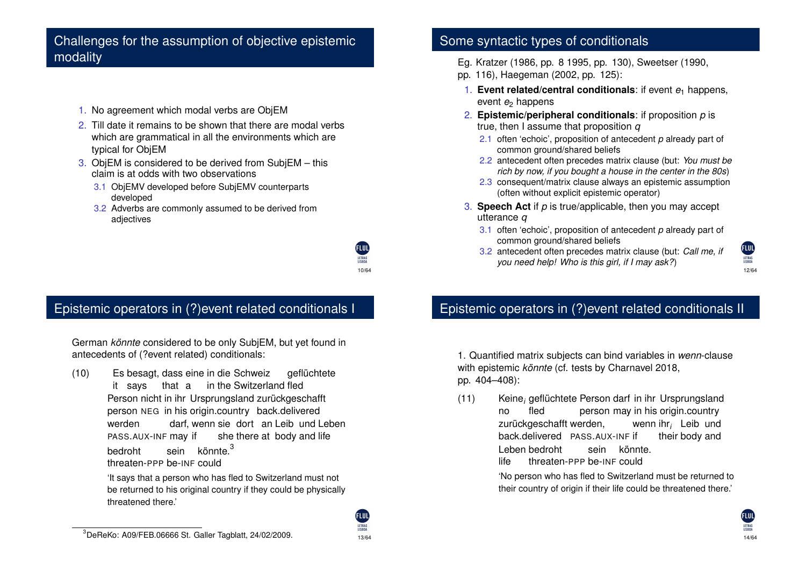#### Challenges for the assumption of objective epistemic modality

- 1. No agreement which modal verbs are ObjEM
- 2. Till date it remains to be shown that there are modal verbs which are grammatical in all the environments which are typical for ObjEM
- 3. ObjEM is considered to be derived from SubjEM this claim is at odds with two observations
	- 3.1 ObjEMV developed before SubjEMV counterparts developed
	- 3.2 Adverbs are commonly assumed to be derived from adjectives

# Epistemic operators in (?)event related conditionals I

German *könnte* considered to be only SubjEM, but yet found in antecedents of (?event related) conditionals:

 $(10)$ it says besagt, dass eine in die Schweiz that a in the Switzerland fled geflüchtete Person nicht in ihr Ursprungsland zurückgeschafft person NEG in his origin.country back.delivered werden PASS.AUX-INF may if darf, wenn sie dort an Leib und Leben she there at body and life bedroht threaten-PPP be-INF could sein könnte.<sup>3</sup>

> 'It says that a person who has fled to Switzerland must not be returned to his original country if they could be physically threatened there.'

#### Some syntactic types of conditionals

- Eg. Kratzer (1986, pp. 8 1995, pp. 130), Sweetser (1990,
- pp. 116), Haegeman (2002, pp. 125):
- 1. **Event related/central conditionals**: if event *e*<sup>1</sup> happens, event *e*<sup>2</sup> happens
- 2. **Epistemic/peripheral conditionals**: if proposition *p* is true, then I assume that proposition *q*
	- 2.1 often 'echoic', proposition of antecedent *p* already part of common ground/shared beliefs
	- 2.2 antecedent often precedes matrix clause (but: *You must be rich by now, if you bought a house in the center in the 80s*)
	- 2.3 consequent/matrix clause always an epistemic assumption (often without explicit epistemic operator)
- 3. **Speech Act** if *p* is true/applicable, then you may accept utterance *q*
	- 3.1 often 'echoic', proposition of antecedent *p* already part of common ground/shared beliefs
	- 3.2 antecedent often precedes matrix clause (but: *Call me, if you need help! Who is this girl, if I may ask?*)



### Epistemic operators in (?)event related conditionals II

1. Quantified matrix subjects can bind variables in *wenn*-clause with epistemic *könnte* (cf. tests by Charnavel 2018, pp. 404–408):

(11) Keine*<sup>i</sup>* geflüchtete Person darf in ihr Ursprungsland no fled person may in his origin.country zurückgeschafft werden, back.delivered PASS.AUX-INF if wenn ihr*<sup>i</sup>* Leib und their body and Leben bedroht life threaten-PPP be-INF could sein könnte.

> 'No person who has fled to Switzerland must be returned to their country of origin if their life could be threatened there.'

10/64

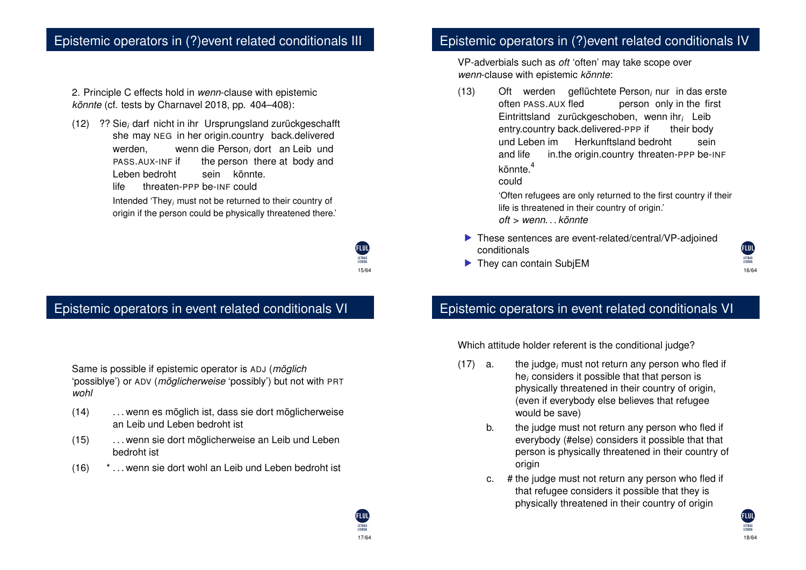#### Epistemic operators in (?)event related conditionals III

2. Principle C effects hold in *wenn*-clause with epistemic *könnte* (cf. tests by Charnavel 2018, pp. 404–408):

(12) ?? Sie*<sup>i</sup>* darf nicht in ihr Ursprungsland zurückgeschafft she may NEG in her origin.country back.delivered werden, PASS.AUX-INF if wenn die Person<sub>i</sub> dort an Leib und the person there at body and Leben bedroht life threaten-PPP be-INF could sein könnte.

> Intended 'They*<sup>i</sup>* must not be returned to their country of origin if the person could be physically threatened there.'

> > 15/64

17/64

LETRAS<br>LISBOA

# Epistemic operators in event related conditionals VI

Same is possible if epistemic operator is ADJ (*möglich* 'possiblye') or ADV (*möglicherweise* 'possibly') but not with PRT *wohl*

- (14) . . . wenn es möglich ist, dass sie dort möglicherweise an Leib und Leben bedroht ist
- (15) . . . wenn sie dort möglicherweise an Leib und Leben bedroht ist
- (16) \* . . . wenn sie dort wohl an Leib und Leben bedroht ist

#### Epistemic operators in (?)event related conditionals IV

VP-adverbials such as *oft* 'often' may take scope over *wenn*-clause with epistemic *könnte*:

 $(13)$ often PASS.AUX fled werden geflüchtete Person*<sup>i</sup>* nur in das erste person only in the first Eintrittsland zurückgeschoben, wenn ihr*<sup>i</sup>* Leib entry.country back.delivered-PPP if their body und Leben im Herkunftsland bedroht and life in.the origin.country threaten-PPP be-INF sein könnte.<sup>4</sup> could

'Often refugees are only returned to the first country if their life is threatened in their country of origin.' *oft* > *wenn. . . könnte*

- $\blacktriangleright$  These sentences are event-related/central/VP-adjoined conditionals
- $\blacktriangleright$  They can contain SubjEM



Which attitude holder referent is the conditional judge?

- (17) a. the judge*<sup>i</sup>* must not return any person who fled if he*<sup>i</sup>* considers it possible that that person is physically threatened in their country of origin, (even if everybody else believes that refugee would be save)
	- b. the judge must not return any person who fled if everybody (#else) considers it possible that that person is physically threatened in their country of origin
	- c. # the judge must not return any person who fled if that refugee considers it possible that they is physically threatened in their country of origin

16/64

**FLUL** LETRAS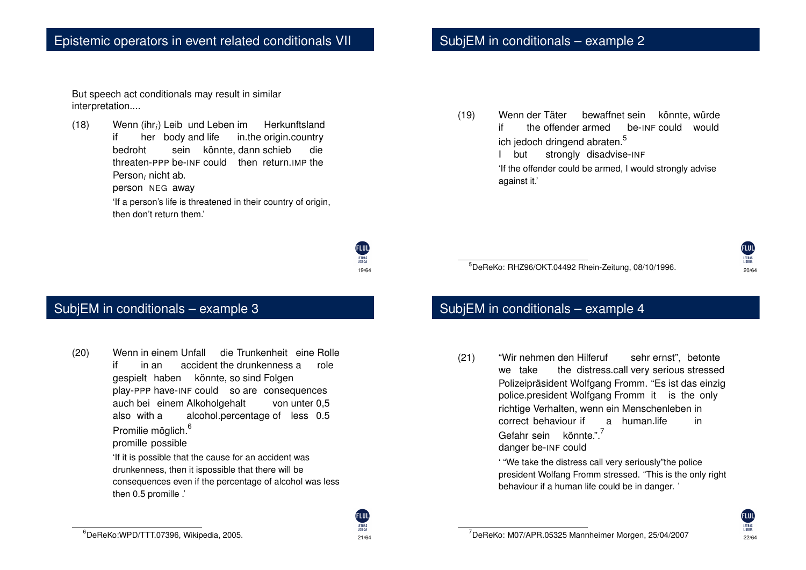But speech act conditionals may result in similar interpretation....

(18) Wenn (ihr*i*) Leib und Leben im if her body and life in.the origin.country **Herkunftsland** bedroht threaten-PPP be-INF could then return.IMP the sein könnte, dann schieb die Person*<sup>i</sup>* nicht ab. person NEG away

> 'If a person's life is threatened in their country of origin, then don't return them.'

> > **FLUL** 19/64

# SubjEM in conditionals – example 2

(19) Wenn der Täter if the offender armed bewaffnet sein könnte, würde be-INF could would ich jedoch dringend abraten.<sup>5</sup>

I but strongly disadvise-INF

'If the offender could be armed, I would strongly advise against it.'

5 DeReKo: RHZ96/OKT.04492 Rhein-Zeitung, 08/10/1996.

# FLUL 20/64

#### SubjEM in conditionals – example 3

- (20) Wenn in einem Unfall if in an accident the drunkenness a die Trunkenheit eine Rolle role gespielt haben könnte, so sind Folgen play-PPP have-INF could so are consequences auch bei einem Alkoholgehalt also with a alcohol.percentage of less 0.5 von unter 0,5 Promilie möglich.<sup>6</sup> promille possible 'If it is possible that the cause for an accident was drunkenness, then it ispossible that there will be
	- consequences even if the percentage of alcohol was less then 0.5 promille .'

#### SubjEM in conditionals – example 4

 $(21)$ we take nehmen den Hilferuf the distress.call very serious stressed sehr ernst", betonte Polizeipräsident Wolfgang Fromm. "Es ist das einzig police.president Wolfgang Fromm it is the only richtige Verhalten, wenn ein Menschenleben in correct behaviour if a human.life in Gefahr sein könnte.".<sup>7</sup> danger be-INF could

> ' "We take the distress call very seriously"the police president Wolfang Fromm stressed. "This is the only right behaviour if a human life could be in danger. '

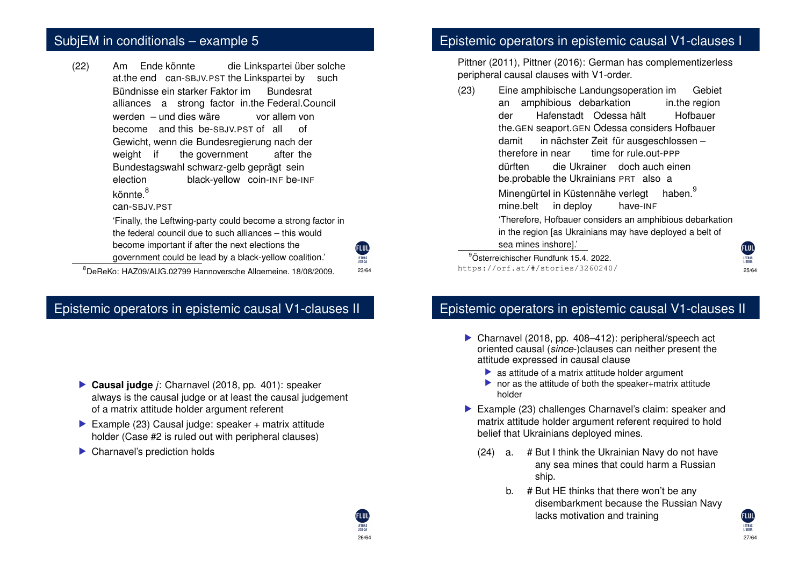# SubjEM in conditionals – example 5

 $(22)$ at.the end can-SBJV.PST the Linkspartei by such Ende könnte die Linkspartei über solche Bündnisse ein starker Faktor im alliances a strong factor in.the Federal.Council Bundesrat werden – und dies wäre become and this be-SBJV.PST of all of vor allem von Gewicht, wenn die Bundesregierung nach der weight if the government after the Bundestagswahl schwarz-gelb geprägt sein election black-yellow coin-INF be-INF könnte.<sup>8</sup> can-SBJV.PST 'Finally, the Leftwing-party could become a strong factor in the federal council due to such alliances – this would become important if after the next elections the government could be lead by a black-yellow coalition.'

**ELUD** LETRAS 23/64

26/64

LETRAS<br>LISBOA

 $^8$ DeReKo: HAZ09/AUG.02799 Hannoversche Allgemeine. 18/08/2009.  $^{23/64}$  https://orf.at/#/stories/3260240/

#### Epistemic operators in epistemic causal V1-clauses II

- ▶ Causal judge *j*: Charnavel (2018, pp. 401): speaker always is the causal judge or at least the causal judgement of a matrix attitude holder argument referent
- Example (23) Causal judge: speaker + matrix attitude holder (Case #2 is ruled out with peripheral clauses)
- $\blacktriangleright$  Charnavel's prediction holds

#### Epistemic operators in epistemic causal V1-clauses I

Pittner (2011), Pittner (2016): German has complementizerless peripheral causal clauses with V1-order.

(23) Eine amphibische Landungsoperation im an amphibious debarkation in.the region Gebiet der the.GEN seaport.GEN Odessa considers Hofbauer Hafenstadt Odessa hält Hofbauer damit therefore in near in nächster Zeit für ausgeschlossen – time for rule.out-PPP dürften be.probable the Ukrainians PRT also a die Ukrainer doch auch einen Minengürtel in Küstennähe verlegt mine.belt in deploy have-INF haben.<sup>3</sup> 'Therefore, Hofbauer considers an amphibious debarkation in the region [as Ukrainians may have deployed a belt of sea mines inshore].' 9 Österreichischer Rundfunk 15.4. 2022.

https://orf.at/#/stories/3260240/

**FLUL** LETRAS

#### Epistemic operators in epistemic causal V1-clauses II

- $\triangleright$  Charnavel (2018, pp. 408–412): peripheral/speech act oriented causal (*since*-)clauses can neither present the attitude expressed in causal clause
	- $\blacktriangleright$  as attitude of a matrix attitude holder argument
	- $\triangleright$  nor as the attitude of both the speaker+matrix attitude holder
- $\blacktriangleright$  Example (23) challenges Charnavel's claim: speaker and matrix attitude holder argument referent required to hold belief that Ukrainians deployed mines.
	- (24) a. # But I think the Ukrainian Navy do not have any sea mines that could harm a Russian ship.
		- b. # But HE thinks that there won't be any disembarkment because the Russian Navy lacks motivation and training

27/64

LETRAS<br>LISBOA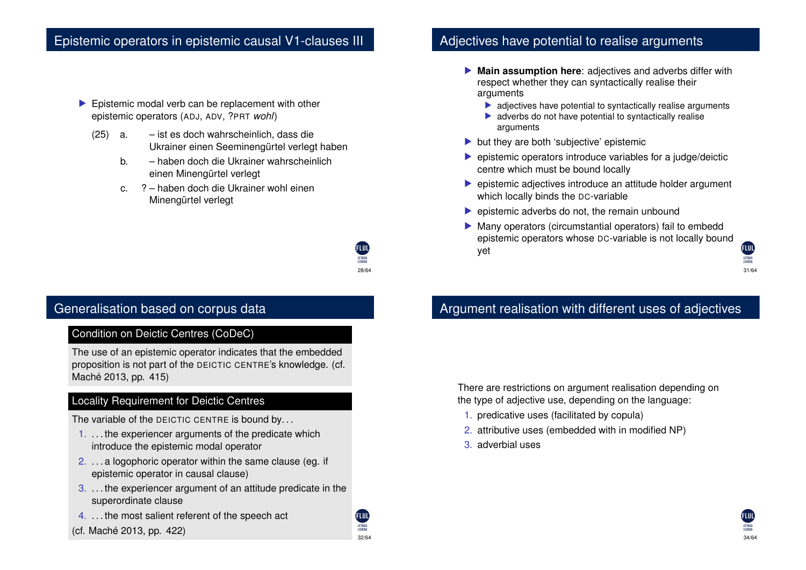#### Epistemic operators in epistemic causal V1-clauses III

- $\blacktriangleright$  Epistemic modal verb can be replacement with other epistemic operators (ADJ, ADV, ?PRT *wohl*)
	- (25) a. ist es doch wahrscheinlich, dass die Ukrainer einen Seeminengürtel verlegt haben
		- b. haben doch die Ukrainer wahrscheinlich einen Minengürtel verlegt
		- c. ? haben doch die Ukrainer wohl einen Minengürtel verlegt

# Adjectives have potential to realise arguments

- **Main assumption here:** adjectives and adverbs differ with respect whether they can syntactically realise their arguments
	- $\blacktriangleright$  adjectives have potential to syntactically realise arguments
	- $\blacktriangleright$  adverbs do not have potential to syntactically realise arguments
- but they are both 'subjective' epistemic
- $\triangleright$  epistemic operators introduce variables for a judge/deictic centre which must be bound locally
- $\blacktriangleright$  epistemic adjectives introduce an attitude holder argument which locally binds the DC-variable
- $\blacktriangleright$  epistemic adverbs do not, the remain unbound
- $\blacktriangleright$  Many operators (circumstantial operators) fail to embedd epistemic operators whose DC-variable is not locally bound yet



#### Argument realisation with different uses of adjectives

There are restrictions on argument realisation depending on the type of adjective use, depending on the language:

- 1. predicative uses (facilitated by copula)
- 2. attributive uses (embedded with in modified NP)
- 3. adverbial uses



#### Condition on Deictic Centres (CoDeC)

The use of an epistemic operator indicates that the embedded proposition is not part of the DEICTIC CENTRE's knowledge. (cf. Maché 2013, pp. 415)

#### Locality Requirement for Deictic Centres

The variable of the DEICTIC CENTRE is bound by...

- 1. . . . the experiencer arguments of the predicate which introduce the epistemic modal operator
- 2. . . . a logophoric operator within the same clause (eg. if epistemic operator in causal clause)
- 3. . . . the experiencer argument of an attitude predicate in the superordinate clause
- 4. . . . the most salient referent of the speech act
- $\frac{132}{34/64}$  (cf. Maché 2013, pp. 422)  $\frac{11880\lambda}{34/64}$

32/64

28/64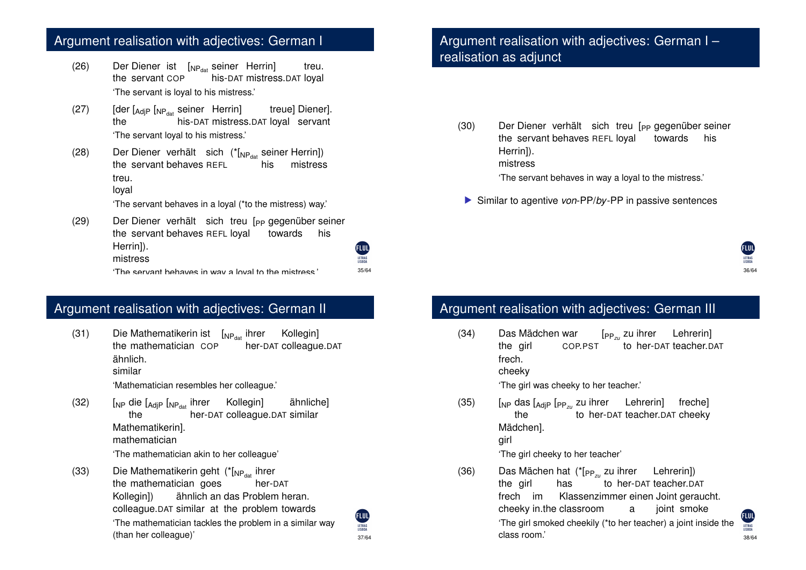#### Argument realisation with adjectives: German I

- (26) Der Diener ist [<sub>NP<sub>dat</sub> seiner Herrin]</sub> the servant COP his-DAT mistress.DAT loyal treu. 'The servant is loyal to his mistress.'
- (27) [der [<sub>AdjP</sub> [<sub>NPdat</sub> seiner Herrin] the his-DAT mistress.DAT loyal servant treue] Diener]. 'The servant loyal to his mistress.'
- $(28)$ the servant behaves REFL Diener verhält sich (\*[<sub>NP<sub>dat</sub> seiner Herrin])</sub> his mistress treu.

#### loyal

'The servant behaves in a loyal (\*to the mistress) way.'

 $(29)$ Diener verhält sich treu [<sub>PP</sub> gegenüber seiner the servant behaves REFL loyal towards his Herrin]). **ELUL** mistress The servant behaves in way a loyal to the mistress.'  $35/64$ 

#### Argument realisation with adjectives: German II

 $(31)$ the mathematician COP Mathematikerin ist (<sub>NPdat</sub> ihrer Kollegin] her-DAT colleague.DAT ähnlich. similar

'Mathematician resembles her colleague.'

- (32) [<sub>NP</sub> die [<sub>AdjP</sub> [<sub>NP<sub>dat</sub> ihrer Kollegin]</sub> the her-DAT colleague.DAT similar ähnliche] Mathematikerin]. mathematician 'The mathematician akin to her colleague'
- $(33)$ the mathematician goes Mathematikerin geht (\*[<sub>NP<sub>dat</sub> ihrer</sub> her-DAT Kollegin1) colleague.DAT similar at the problem towards ähnlich an das Problem heran. 'The mathematician tackles the problem in a similar way

#### (FLUL) LETRAS<br>LISBOA 37/64

35/64

LETRAS

#### Argument realisation with adjectives: German I – realisation as adjunct

- $(30)$ the servant behaves REFL loyal Diener verhält sich treu [<sub>PP</sub> gegenüber seiner towards his Herrin]). mistress
	- 'The servant behaves in way a loyal to the mistress.'
	- ▶ Similar to agentive *von*-PP/*by*-PP in passive sentences

# FLUI

#### Argument realisation with adjectives: German III

 $(34)$ the girl Mädchen war COP.PST [PP*zu* zu ihrer Lehrerin] to her-DAT teacher.DAT frech. cheeky

'The girl was cheeky to her teacher.'

(35) [NP das [AdjP [PP*zu* zu ihrer Lehrerin] freche] the to her-DAT teacher.DAT cheeky Mädchen]. girl

'The girl cheeky to her teacher'

(than her colleague)'  $\frac{38/64}{38/64}$   $\frac{38/64}{18/64}$  class room.' (36) Das Mächen hat (\*[PP*zu* zu ihrer Lehrerin]) the girl has to her-DAT teacher.DAT frech im cheeky in.the classroom Klassenzimmer einen Joint geraucht. a joint smoke 'The girl smoked cheekily (\*to her teacher) a joint inside the class room.'

**FIIII**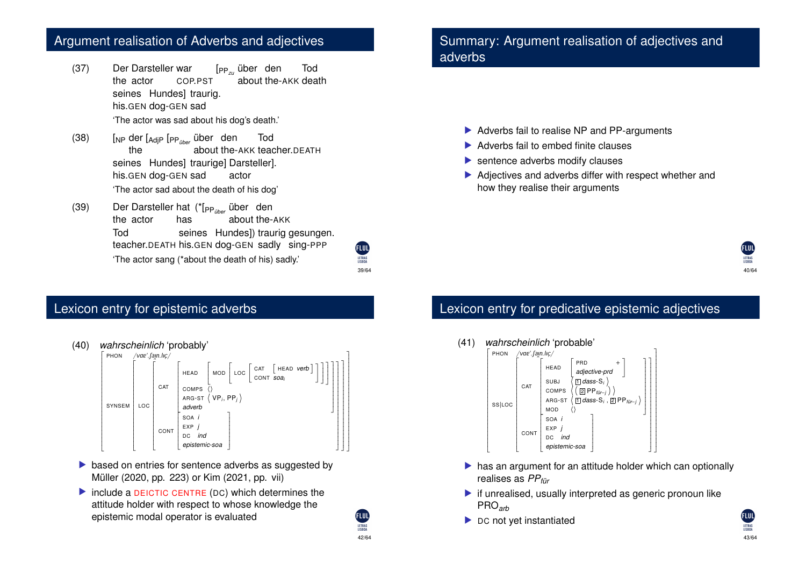#### Argument realisation of Adverbs and adjectives

- $(37)$ the actor Darsteller war COP.PST [PP*zu* über den about the-AKK death Tod seines Hundes] traurig. his.GEN dog-GEN sad 'The actor was sad about his dog's death.'
- (38) [NP der [AdjP [PP*über* über den the about the-AKK teacher.DEATH Tod seines Hundes] traurige] Darsteller]. his.GEN dog-GEN sad actor 'The actor sad about the death of his dog'
- (39) Der Darsteller hat (\*[PP*über* über den the actor has about the-AKK Tod teacher.DEATH his.GEN dog-GEN sadly sing-PPP seines Hundes]) traurig gesungen. 'The actor sang (\*about the death of his) sadly.'

39/64

**FLUT** LETRAS

42/64

LETRAS<br>LISBOA

# Lexicon entry for epistemic adverbs

- (40) *wahrscheinlich* 'probably' PHON ^^^^^^^^^^^^^^^^^^^^^^^^^^^^^^^^^^^^^^^^^^^^^^^^^  $\overline{\phantom{a}}$ PHON /vaɐˈ.ʃaɪn.lɪç/<br>Γ Γ SYNSEM ł. ^^^^^^^^^^^^^^^^^^^^^^^^^^^^^^^^^^^^^^^^^^^^  $\overline{\phantom{a}}$ LOC  $\mathbf{r}$ ^^^^^^^^^^^^^^^^^^^^^^^^^^^^^^^^^^^^^^^^^^^  $\overline{\phantom{a}}$ CAT ł. ^^^^^^^^^^^^^^^^^^^^^^^  $\vdash$ HEAD  $\mathbf{r}$ ^^^^^^^^  $\frac{\mathsf{L}}{\mathsf{L}}$ MOD ł.  $\overline{\phantom{a}}$  $\overline{\phantom{a}}$  $\overline{LOC}$  CAT  $\left[$  HEAD *verb* CONT *soai*  $\overline{\phantom{a}}$  $\mathbf{I}$  $\overline{\phantom{a}}$  $\overline{\phantom{a}}$  $\overline{\phantom{a}}$  $\overline{\phantom{a}}$  $\overline{a}$ COMPS<br>ARG-ST  $\langle$  VP<sub>i</sub>, PP<sub>i</sub> *adverb*  $\mathbf{I}$  $\overline{\phantom{a}}$  $\overline{a}$ **CONT** ł. \<br>\<br>\<br>\<br><br><br><br><br><br><br><br><br><br><br><br><br><br><br>  $\overline{a}$ SOA *i* EXP *j* DC *ind epistemic-soa* [  $\overline{\phantom{a}}$  $\overline{\phantom{a}}$  $\mathbf{I}$  $\overline{\phantom{a}}$  $\overline{\phantom{a}}$  $\frac{1}{2}$  $\Box$  $\overline{\phantom{a}}$  $\mathbf{I}$  $\overline{\phantom{a}}$  $\overline{\phantom{a}}$
- $\triangleright$  based on entries for sentence adverbs as suggested by Müller (2020, pp. 223) or Kim (2021, pp. vii)
- $\triangleright$  include a DEICTIC CENTRE (DC) which determines the attitude holder with respect to whose knowledge the epistemic modal operator is evaluated

#### Summary: Argument realisation of adjectives and adverbs

- $\blacktriangleright$  Adverbs fail to realise NP and PP-arguments
- $\blacktriangleright$  Adverbs fail to embed finite clauses
- $\blacktriangleright$  sentence adverbs modify clauses
- $\blacktriangleright$  Adjectives and adverbs differ with respect whether and how they realise their arguments



# Lexicon entry for predicative epistemic adjectives

#### (41) *wahrscheinlich* 'probable'



- $\blacktriangleright$  has an argument for an attitude holder which can optionally realises as *PPfür*
- $\blacktriangleright$  if unrealised, usually interpreted as generic pronoun like PRO*arb*
- $\blacktriangleright$  DC not yet instantiated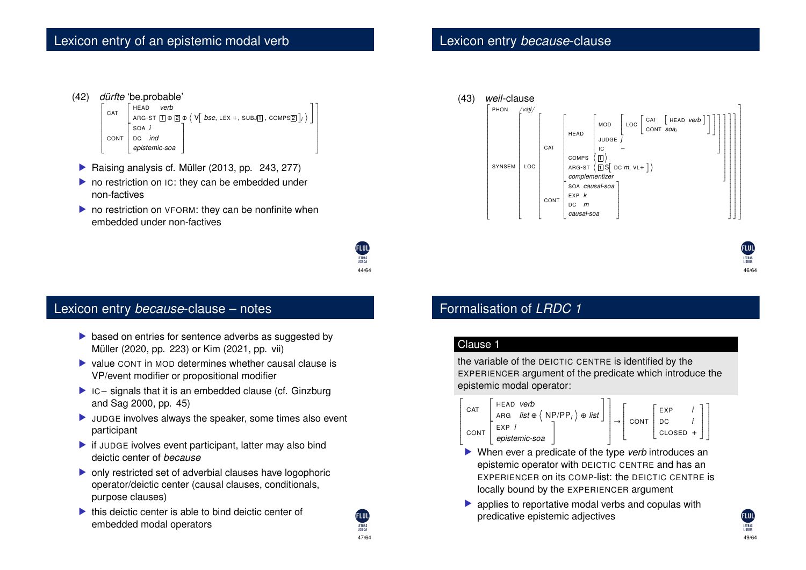```
(42) dürfte 'be.probable' \mathbf{r}\begin{bmatrix} \begin{bmatrix} \mathbf{1} & \mathbf{1} & \mathbf{1} & \mathbf{1} & \mathbf{1} & \mathbf{1} & \mathbf{1} & \mathbf{1} & \mathbf{1} & \mathbf{1} & \mathbf{1} & \mathbf{1} & \mathbf{1} & \mathbf{1} & \mathbf{1} & \mathbf{1} & \mathbf{1} & \mathbf{1} & \mathbf{1} & \mathbf{1} & \mathbf{1} & \mathbf{1} & \mathbf{1} & \mathbf{1} & \mathbf{1} & \mathbf{1} & \mathbf{1} & \mathbf{1} & \mathbf{1} & \mathbf{1\overline{\phantom{a}}\textsf{CAT} \left[ \begin{array}{ll} \textsf{HEAD} & \textsf{\textit{verb}} \ \textsf{A}\textsf{RG}\textsf{-ST} \ \hline \textsf{A}\textsf{RG}\textsf{-ST} \ \hline \textsf{I} \end{array} \oplus \left\{ \begin{array}{ll} \textsf{V} \left[ \begin{array}{ll} \textsf{bse}, \textsf{LEX} + \textsf{, SUBJ} \ \hline \textsf{I}, \textsf{COMPS} \end{array} \right]_i \end{array} \right\} \right)CONT
                                                                                                           ł.
                                                                                                           \overline{\mathsf{L}}\overline{a}SOA i
                                                                                                                  DC ind
                                                                                                                    epistemic-soa
                                                                                                                                                                                                                             \mathbf{I}\overline{\phantom{a}}\overline{a}\mathbf{I}\overline{\phantom{a}}\frac{1}{2}
```
- $\blacktriangleright$  Raising analysis cf. Müller (2013, pp. 243, 277)
- $\triangleright$  no restriction on IC: they can be embedded under non-factives
- $\triangleright$  no restriction on VFORM: they can be nonfinite when embedded under non-factives



#### Lexicon entry *because*-clause – notes

- $\triangleright$  based on entries for sentence adverbs as suggested by Müller (2020, pp. 223) or Kim (2021, pp. vii)
- $\triangleright$  value CONT in MOD determines whether causal clause is VP/event modifier or propositional modifier
- $\blacktriangleright$  IC signals that it is an embedded clause (cf. Ginzburg and Sag 2000, pp. 45)
- $\blacktriangleright$  JUDGE involves always the speaker, some times also event participant
- $\blacktriangleright$  if JUDGE ivolves event participant, latter may also bind deictic center of *because*
- $\triangleright$  only restricted set of adverbial clauses have logophoric operator/deictic center (causal clauses, conditionals, purpose clauses)
- $\blacktriangleright$  this deictic center is able to bind deictic center of embedded modal operators

#### Lexicon entry *because*-clause



46/64

49/64

LETRAS<br>LISBOA

### Formalisation of *LRDC 1*

#### Clause 1

the variable of the DEICTIC CENTRE is identified by the EXPERIENCER argument of the predicate which introduce the epistemic modal operator:



- \ ] Z When ever a predicate of the type *verb* introduces an epistemic operator with DEICTIC CENTRE and has an EXPERIENCER on its COMP-list: the DEICTIC CENTRE is locally bound by the EXPERIENCER argument
- $\triangleright$  applies to reportative modal verbs and copulas with predicative epistemic adjectives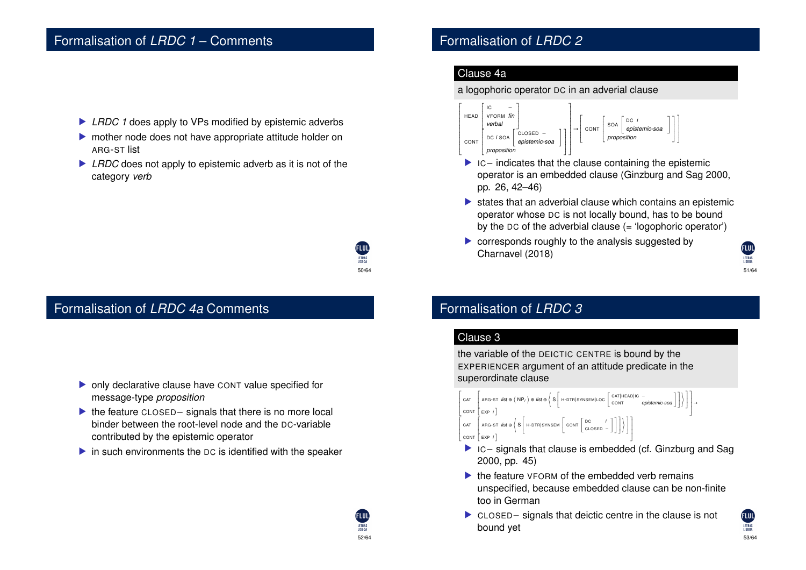#### Formalisation of *LRDC 1* – Comments

- ▶ *LRDC 1* does apply to VPs modified by epistemic adverbs
- $\triangleright$  mother node does not have appropriate attitude holder on ARG-ST list
- ▶ *LRDC* does not apply to epistemic adverb as it is not of the category *verb*

50/64

52/64

# Formalisation of *LRDC 4a* Comments

- $\triangleright$  only declarative clause have CONT value specified for message-type *proposition*
- $\blacktriangleright$  the feature CLOSED signals that there is no more local binder between the root-level node and the DC-variable contributed by the epistemic operator
- $\triangleright$  in such environments the DC is identified with the speaker

#### Formalisation of *LRDC 2*

#### Clause 4a

#### a logophoric operator DC in an adverial clause



- $\triangleright$  IC indicates that the clause containing the epistemic operator is an embedded clause (Ginzburg and Sag 2000, pp. 26, 42–46)
- $\blacktriangleright$  states that an adverbial clause which contains an epistemic operator whose DC is not locally bound, has to be bound by the  $DC$  of the adverbial clause  $(=$  'logophoric operator')
- $\triangleright$  corresponds roughly to the analysis suggested by Charnavel (2018)

LETRAS 51/64

#### Formalisation of *LRDC 3*

#### Clause 3

 $\overline{\phantom{a}}$  $\frac{\mathsf{L}}{\mathsf{L}}$ 

 $\overline{\phantom{a}}$  $\overline{a}$ 

the variable of the DEICTIC CENTRE is bound by the EXPERIENCER argument of an attitude predicate in the superordinate clause



- $\blacktriangleright$  ic signals that clause is embedded (cf. Ginzburg and Sag 2000, pp. 45)
- $\blacktriangleright$  the feature VFORM of the embedded verb remains unspecified, because embedded clause can be non-finite too in German
- $\triangleright$  CLOSED signals that deictic centre in the clause is not bound yet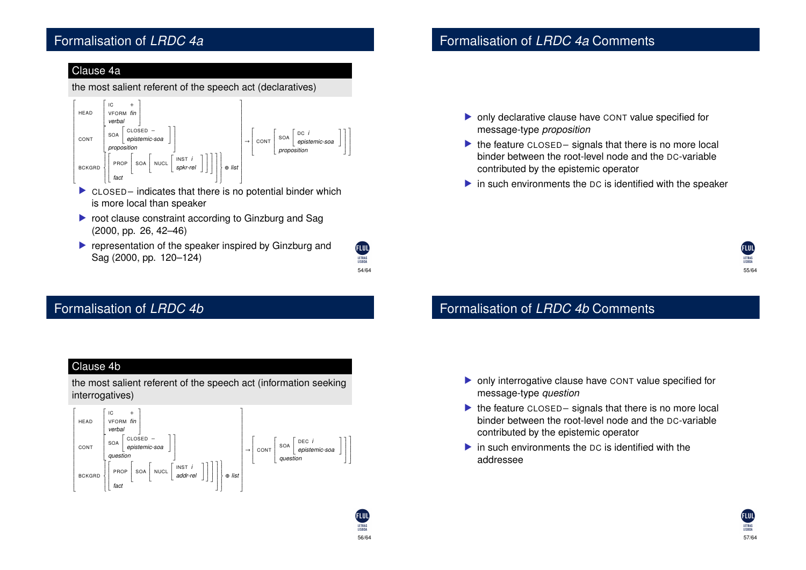### Formalisation of *LRDC 4a*

#### Clause 4a

the most salient referent of the speech act (declaratives)



- $\triangleright$  CLOSED indicates that there is no potential binder which is more local than speaker
- $\triangleright$  root clause constraint according to Ginzburg and Sag (2000, pp. 26, 42–46)
- $\blacktriangleright$  representation of the speaker inspired by Ginzburg and Sag (2000, pp. 120–124)

54/64

**ELUD** LETRAS

56/64

LETRAS<br>LISBOA

# Formalisation of *LRDC 4b*

#### Formalisation of *LRDC 4a* Comments

- $\triangleright$  only declarative clause have CONT value specified for message-type *proposition*
- $\blacktriangleright$  the feature CLOSED signals that there is no more local binder between the root-level node and the DC-variable contributed by the epistemic operator
- $\triangleright$  in such environments the DC is identified with the speaker

# 55/64

### Formalisation of *LRDC 4b* Comments

- $\triangleright$  only interrogative clause have CONT value specified for message-type *question*
- $\blacktriangleright$  the feature CLOSED signals that there is no more local binder between the root-level node and the DC-variable contributed by the epistemic operator
- $\blacktriangleright$  in such environments the DC is identified with the addressee

#### Clause 4b

the most salient referent of the speech act (information seeking interrogatives)

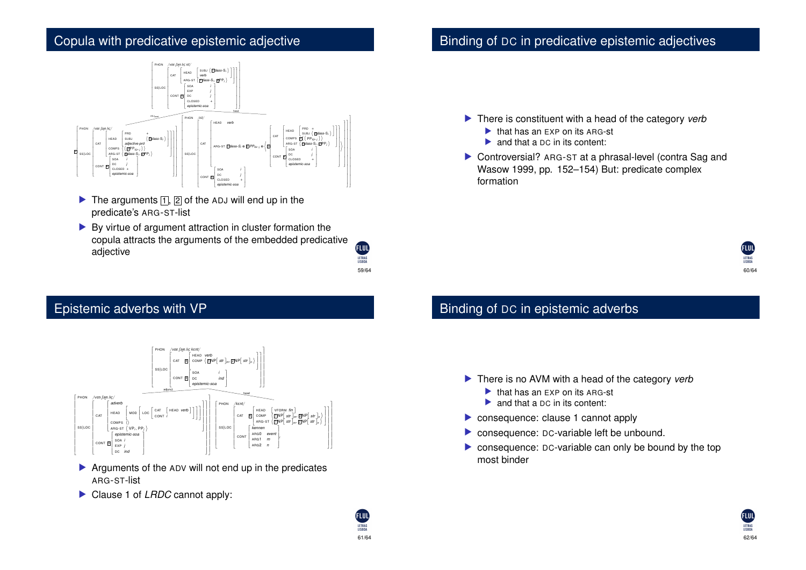## Copula with predicative epistemic adjective



- $\triangleright$  The arguments  $\lceil \cdot \rceil$ ,  $\lceil 2 \rceil$  of the ADJ will end up in the predicate's ARG-ST-list
- $\blacktriangleright$  By virtue of argument attraction in cluster formation the copula attracts the arguments of the embedded predicative adjective

59/64

du

LETRAS

61/64

**FLUT** 

LETRAS

# Epistemic adverbs with VP



- $\blacktriangleright$  Arguments of the ADV will not end up in the predicates ARG-ST-list
- Clause 1 of *LRDC* cannot apply:

# Binding of DC in predicative epistemic adjectives

- ▶ There is constituent with a head of the category *verb* 
	- $\blacktriangleright$  that has an EXP on its ARG-st
	- $\triangleright$  and that a DC in its content:
- $\triangleright$  Controversial? ARG-ST at a phrasal-level (contra Sag and Wasow 1999, pp. 152–154) But: predicate complex formation



# Binding of DC in epistemic adverbs

- ▶ There is no AVM with a head of the category *verb* 
	- $\blacktriangleright$  that has an EXP on its ARG-st
	- $\triangleright$  and that a DC in its content:
- $\triangleright$  consequence: clause 1 cannot apply
- $\triangleright$  consequence: DC-variable left be unbound.
- $\triangleright$  consequence: DC-variable can only be bound by the top most binder

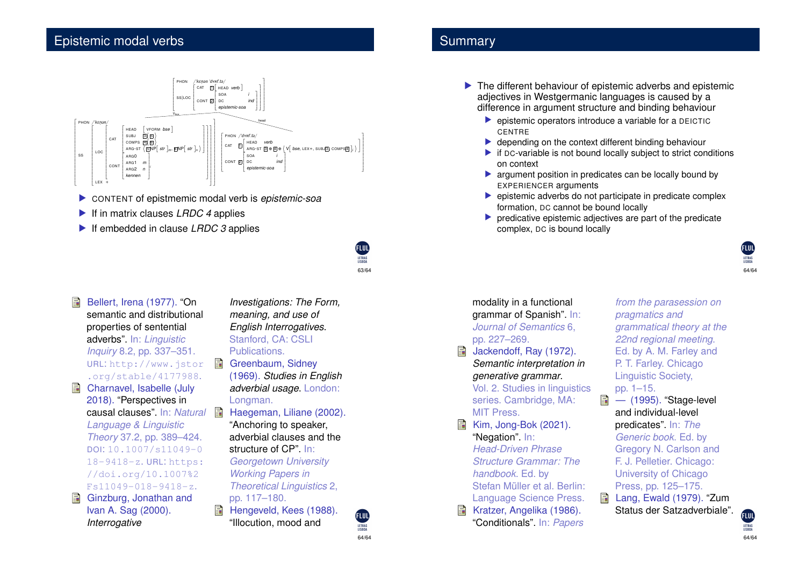

- **EX CONTENT of epistmemic modal verb is epistemic-soa**
- ▶ If in matrix clauses *LRDC 4* applies
- ▶ If embedded in clause *LRDC 3* applies

| Bellert, Irena (1977). "On   |   | Inve:       |
|------------------------------|---|-------------|
| semantic and distributional  |   | mea         |
| properties of sentential     |   | Engl        |
| adverbs". In: Linguistic     |   | Stan        |
| Inquiry 8.2, pp. 337-351.    |   | Publ        |
| URL: http://www.jstor        | 量 | Gree        |
| .org/stable/4177988.         |   | (196)       |
| Charnavel, Isabelle (July    |   | adve        |
| 2018). "Perspectives in      |   | Long        |
| causal clauses". In: Natural | 量 | Hae         |
| Language & Linguistic        |   | "Anc        |
| Theory 37.2, pp. 389-424.    |   | adve        |
| DOI: 10.1007/s11049-0        |   | struc       |
| 18-9418-z. URL: https:       |   | Geoi        |
| //doi.org/10.1007%2          |   | Worl        |
| Fs11049-018-9418-z.          |   | <b>Theo</b> |
| Ginzburg, Jonathan and       |   | pp. 1       |
| Ivan A. Sag (2000).          |   | Heng        |
| Interrogative                |   | "Illoc      |
|                              |   |             |

*Investigations: The Form, ning, and use of English Interrogatives*. ford, CA: CSLI ications.

63/64

**ELUD** 

LETRAS

64/64

LETRAS<br>LISBOA

- enbaum, Sidney (1969). *Studies in English arbial usage.* London: Longman.
	- geman, Liliane (2002). horing to speaker, erbial clauses and the ture of CP". In: *<u>rgetown</u> University Working Papers in Theoretical Linguistics* 2, pp. 117–180.
		- geveld, Kees (1988). ution, mood and

#### **Summary**

- $\blacktriangleright$  The different behaviour of epistemic adverbs and epistemic adjectives in Westgermanic languages is caused by a difference in argument structure and binding behaviour
	- $\blacktriangleright$  epistemic operators introduce a variable for a DEICTIC **CENTRE**
	- $\blacktriangleright$  depending on the context different binding behaviour
	- $\blacktriangleright$  if DC-variable is not bound locally subject to strict conditions on context
	- $\blacktriangleright$  argument position in predicates can be locally bound by EXPERIENCER arguments
	- $\blacktriangleright$  epistemic adverbs do not participate in predicate complex formation, DC cannot be bound locally
	- $\triangleright$  predicative epistemic adjectives are part of the predicate complex, DC is bound locally



modality in a functional grammar of Spanish". In: *Journal of Semantics* 6, pp. 227–269.

Jackendoff, Ray (1972). *Semantic interpretation in generative grammar*. Vol. 2. Studies in linguistics series. Cambridge, MA: MIT Press. Kim, Jong-Bok (2021). "Negation". In: *Head-Driven Phrase Structure Grammar: The handbook*. Ed. by Stefan Müller et al. Berlin: Language Science Press. Kratzer, Angelika (1986).

"Conditionals". In: *Papers*

*from the parasession on pragmatics and grammatical theory at the 22nd regional meeting*. Ed. by A. M. Farley and P. T. Farley. Chicago Linguistic Society, pp. 1–15.

— (1995). "Stage-level and individual-level predicates". In: *The Generic book*. Ed. by Gregory N. Carlson and F. J. Pelletier. Chicago: University of Chicago Press, pp. 125–175. Lang, Ewald (1979). "Zum

Status der Satzadverbiale".

**GIII** LETRAS<br>LISBOA 64/64